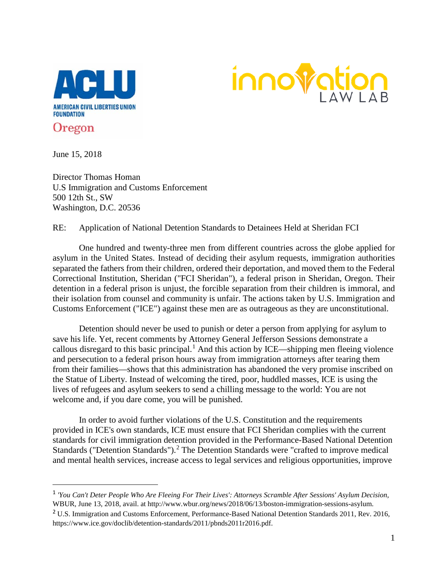



June 15, 2018

Director Thomas Homan U.S Immigration and Customs Enforcement 500 12th St., SW Washington, D.C. 20536

RE: Application of National Detention Standards to Detainees Held at Sheridan FCI

One hundred and twenty-three men from different countries across the globe applied for asylum in the United States. Instead of deciding their asylum requests, immigration authorities separated the fathers from their children, ordered their deportation, and moved them to the Federal Correctional Institution, Sheridan ("FCI Sheridan"), a federal prison in Sheridan, Oregon. Their detention in a federal prison is unjust, the forcible separation from their children is immoral, and their isolation from counsel and community is unfair. The actions taken by U.S. Immigration and Customs Enforcement ("ICE") against these men are as outrageous as they are unconstitutional.

Detention should never be used to punish or deter a person from applying for asylum to save his life. Yet, recent comments by Attorney General Jefferson Sessions demonstrate a callous disregard to this basic principal.<sup>[1](#page-0-0)</sup> And this action by ICE—shipping men fleeing violence and persecution to a federal prison hours away from immigration attorneys after tearing them from their families—shows that this administration has abandoned the very promise inscribed on the Statue of Liberty. Instead of welcoming the tired, poor, huddled masses, ICE is using the lives of refugees and asylum seekers to send a chilling message to the world: You are not welcome and, if you dare come, you will be punished.

In order to avoid further violations of the U.S. Constitution and the requirements provided in ICE's own standards, ICE must ensure that FCI Sheridan complies with the current standards for civil immigration detention provided in the Performance-Based National Detention Standards ("Detention Standards").<sup>[2](#page-0-1)</sup> The Detention Standards were "crafted to improve medical and mental health services, increase access to legal services and religious opportunities, improve

<span id="page-0-0"></span> <sup>1</sup> *'You Can't Deter People Who Are Fleeing For Their Lives': Attorneys Scramble After Sessions' Asylum Decision*, WBUR, June 13, 2018, avail. at http://www.wbur.org/news/2018/06/13/boston-immigration-sessions-asylum.

<span id="page-0-1"></span><sup>&</sup>lt;sup>2</sup> U.S. Immigration and Customs Enforcement, Performance-Based National Detention Standards 2011, Rev. 2016, https://www.ice.gov/doclib/detention-standards/2011/pbnds2011r2016.pdf.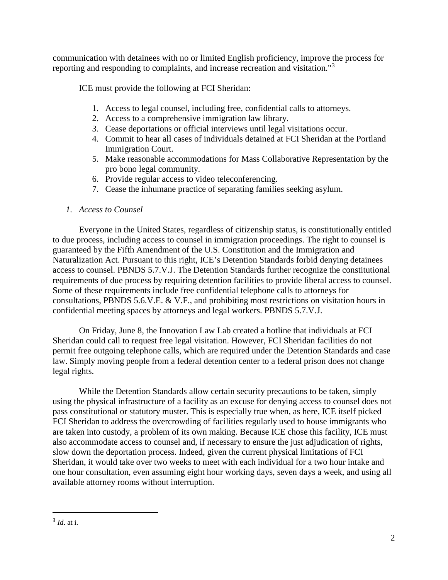communication with detainees with no or limited English proficiency, improve the process for reporting and responding to complaints, and increase recreation and visitation."[3](#page-1-0)

ICE must provide the following at FCI Sheridan:

- 1. Access to legal counsel, including free, confidential calls to attorneys.
- 2. Access to a comprehensive immigration law library.
- 3. Cease deportations or official interviews until legal visitations occur.
- 4. Commit to hear all cases of individuals detained at FCI Sheridan at the Portland Immigration Court.
- 5. Make reasonable accommodations for Mass Collaborative Representation by the pro bono legal community.
- 6. Provide regular access to video teleconferencing.
- 7. Cease the inhumane practice of separating families seeking asylum.

# *1. Access to Counsel*

Everyone in the United States, regardless of citizenship status, is constitutionally entitled to due process, including access to counsel in immigration proceedings. The right to counsel is guaranteed by the Fifth Amendment of the U.S. Constitution and the Immigration and Naturalization Act. Pursuant to this right, ICE's Detention Standards forbid denying detainees access to counsel. PBNDS 5.7.V.J. The Detention Standards further recognize the constitutional requirements of due process by requiring detention facilities to provide liberal access to counsel. Some of these requirements include free confidential telephone calls to attorneys for consultations, PBNDS 5.6.V.E. & V.F., and prohibiting most restrictions on visitation hours in confidential meeting spaces by attorneys and legal workers. PBNDS 5.7.V.J.

On Friday, June 8, the Innovation Law Lab created a hotline that individuals at FCI Sheridan could call to request free legal visitation. However, FCI Sheridan facilities do not permit free outgoing telephone calls, which are required under the Detention Standards and case law. Simply moving people from a federal detention center to a federal prison does not change legal rights.

While the Detention Standards allow certain security precautions to be taken, simply using the physical infrastructure of a facility as an excuse for denying access to counsel does not pass constitutional or statutory muster. This is especially true when, as here, ICE itself picked FCI Sheridan to address the overcrowding of facilities regularly used to house immigrants who are taken into custody, a problem of its own making. Because ICE chose this facility, ICE must also accommodate access to counsel and, if necessary to ensure the just adjudication of rights, slow down the deportation process. Indeed, given the current physical limitations of FCI Sheridan, it would take over two weeks to meet with each individual for a two hour intake and one hour consultation, even assuming eight hour working days, seven days a week, and using all available attorney rooms without interruption.

<span id="page-1-0"></span> <sup>3</sup> *Id*. at i.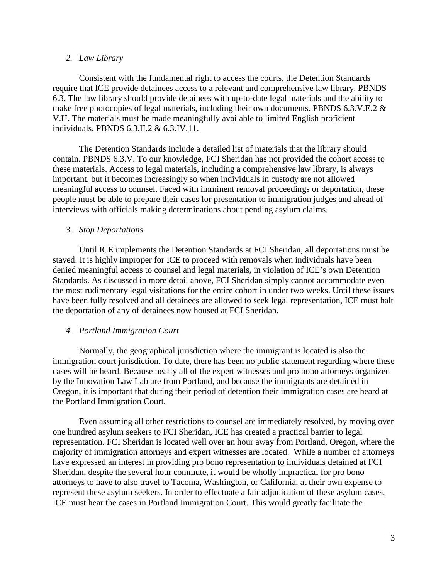### *2. Law Library*

Consistent with the fundamental right to access the courts, the Detention Standards require that ICE provide detainees access to a relevant and comprehensive law library. PBNDS 6.3. The law library should provide detainees with up-to-date legal materials and the ability to make free photocopies of legal materials, including their own documents. PBNDS 6.3.V.E.2 & V.H. The materials must be made meaningfully available to limited English proficient individuals. PBNDS 6.3.II.2 & 6.3.IV.11.

The Detention Standards include a detailed list of materials that the library should contain. PBNDS 6.3.V. To our knowledge, FCI Sheridan has not provided the cohort access to these materials. Access to legal materials, including a comprehensive law library, is always important, but it becomes increasingly so when individuals in custody are not allowed meaningful access to counsel. Faced with imminent removal proceedings or deportation, these people must be able to prepare their cases for presentation to immigration judges and ahead of interviews with officials making determinations about pending asylum claims.

## *3. Stop Deportations*

Until ICE implements the Detention Standards at FCI Sheridan, all deportations must be stayed. It is highly improper for ICE to proceed with removals when individuals have been denied meaningful access to counsel and legal materials, in violation of ICE's own Detention Standards. As discussed in more detail above, FCI Sheridan simply cannot accommodate even the most rudimentary legal visitations for the entire cohort in under two weeks. Until these issues have been fully resolved and all detainees are allowed to seek legal representation, ICE must halt the deportation of any of detainees now housed at FCI Sheridan.

#### *4. Portland Immigration Court*

Normally, the geographical jurisdiction where the immigrant is located is also the immigration court jurisdiction. To date, there has been no public statement regarding where these cases will be heard. Because nearly all of the expert witnesses and pro bono attorneys organized by the Innovation Law Lab are from Portland, and because the immigrants are detained in Oregon, it is important that during their period of detention their immigration cases are heard at the Portland Immigration Court.

Even assuming all other restrictions to counsel are immediately resolved, by moving over one hundred asylum seekers to FCI Sheridan, ICE has created a practical barrier to legal representation. FCI Sheridan is located well over an hour away from Portland, Oregon, where the majority of immigration attorneys and expert witnesses are located. While a number of attorneys have expressed an interest in providing pro bono representation to individuals detained at FCI Sheridan, despite the several hour commute, it would be wholly impractical for pro bono attorneys to have to also travel to Tacoma, Washington, or California, at their own expense to represent these asylum seekers. In order to effectuate a fair adjudication of these asylum cases, ICE must hear the cases in Portland Immigration Court. This would greatly facilitate the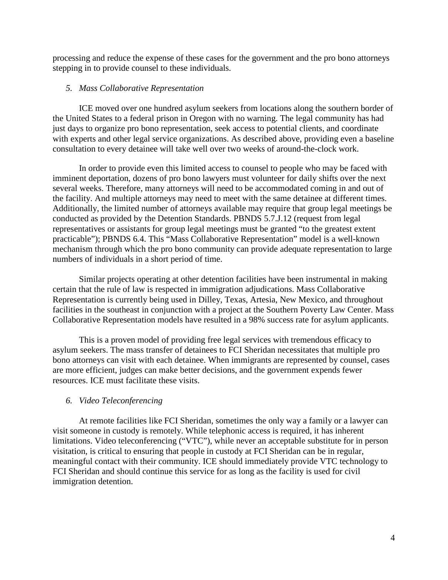processing and reduce the expense of these cases for the government and the pro bono attorneys stepping in to provide counsel to these individuals.

### *5. Mass Collaborative Representation*

ICE moved over one hundred asylum seekers from locations along the southern border of the United States to a federal prison in Oregon with no warning. The legal community has had just days to organize pro bono representation, seek access to potential clients, and coordinate with experts and other legal service organizations. As described above, providing even a baseline consultation to every detainee will take well over two weeks of around-the-clock work.

In order to provide even this limited access to counsel to people who may be faced with imminent deportation, dozens of pro bono lawyers must volunteer for daily shifts over the next several weeks. Therefore, many attorneys will need to be accommodated coming in and out of the facility. And multiple attorneys may need to meet with the same detainee at different times. Additionally, the limited number of attorneys available may require that group legal meetings be conducted as provided by the Detention Standards. PBNDS 5.7.J.12 (request from legal representatives or assistants for group legal meetings must be granted "to the greatest extent practicable"); PBNDS 6.4. This "Mass Collaborative Representation" model is a well-known mechanism through which the pro bono community can provide adequate representation to large numbers of individuals in a short period of time.

Similar projects operating at other detention facilities have been instrumental in making certain that the rule of law is respected in immigration adjudications. Mass Collaborative Representation is currently being used in Dilley, Texas, Artesia, New Mexico, and throughout facilities in the southeast in conjunction with a project at the Southern Poverty Law Center. Mass Collaborative Representation models have resulted in a 98% success rate for asylum applicants.

This is a proven model of providing free legal services with tremendous efficacy to asylum seekers. The mass transfer of detainees to FCI Sheridan necessitates that multiple pro bono attorneys can visit with each detainee. When immigrants are represented by counsel, cases are more efficient, judges can make better decisions, and the government expends fewer resources. ICE must facilitate these visits.

#### *6. Video Teleconferencing*

At remote facilities like FCI Sheridan, sometimes the only way a family or a lawyer can visit someone in custody is remotely. While telephonic access is required, it has inherent limitations. Video teleconferencing ("VTC"), while never an acceptable substitute for in person visitation, is critical to ensuring that people in custody at FCI Sheridan can be in regular, meaningful contact with their community. ICE should immediately provide VTC technology to FCI Sheridan and should continue this service for as long as the facility is used for civil immigration detention.